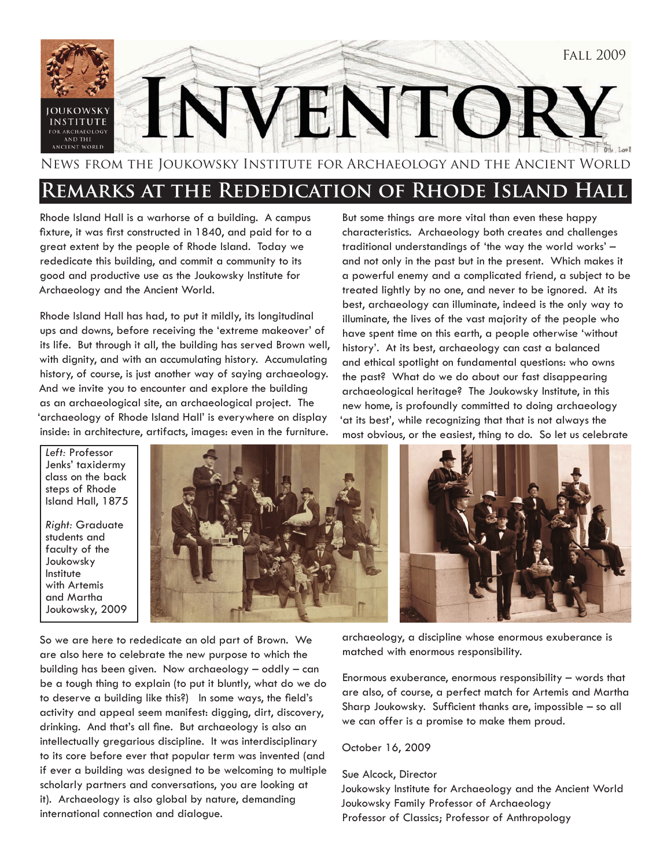

News from the Joukowsky Institute for Archaeology and the Ancient World

#### **Remarks at the Rededication of Rhode Island Hall**

Rhode Island Hall is a warhorse of a building. A campus fixture, it was first constructed in 1840, and paid for to a great extent by the people of Rhode Island. Today we rededicate this building, and commit a community to its good and productive use as the Joukowsky Institute for Archaeology and the Ancient World.

Rhode Island Hall has had, to put it mildly, its longitudinal ups and downs, before receiving the 'extreme makeover' of its life. But through it all, the building has served Brown well, with dignity, and with an accumulating history. Accumulating history, of course, is just another way of saying archaeology. And we invite you to encounter and explore the building as an archaeological site, an archaeological project. The 'archaeology of Rhode Island Hall' is everywhere on display inside: in architecture, artifacts, images: even in the furniture.

But some things are more vital than even these happy characteristics. Archaeology both creates and challenges traditional understandings of 'the way the world works' – and not only in the past but in the present. Which makes it a powerful enemy and a complicated friend, a subject to be treated lightly by no one, and never to be ignored. At its best, archaeology can illuminate, indeed is the only way to illuminate, the lives of the vast majority of the people who have spent time on this earth, a people otherwise 'without history'. At its best, archaeology can cast a balanced and ethical spotlight on fundamental questions: who owns the past? What do we do about our fast disappearing archaeological heritage? The Joukowsky Institute, in this new home, is profoundly committed to doing archaeology 'at its best', while recognizing that that is not always the most obvious, or the easiest, thing to do. So let us celebrate

*Left:* Professor Jenks' taxidermy class on the back steps of Rhode Island Hall, 1875

*Right:* Graduate students and faculty of the Joukowsky Institute with Artemis and Martha Joukowsky, 2009



So we are here to rededicate an old part of Brown. We are also here to celebrate the new purpose to which the building has been given. Now archaeology – oddly – can be a tough thing to explain (to put it bluntly, what do we do to deserve a building like this?) In some ways, the field's activity and appeal seem manifest: digging, dirt, discovery, drinking. And that's all fine. But archaeology is also an intellectually gregarious discipline. It was interdisciplinary to its core before ever that popular term was invented (and if ever a building was designed to be welcoming to multiple scholarly partners and conversations, you are looking at it). Archaeology is also global by nature, demanding international connection and dialogue.

archaeology, a discipline whose enormous exuberance is matched with enormous responsibility.

Enormous exuberance, enormous responsibility – words that are also, of course, a perfect match for Artemis and Martha Sharp Joukowsky. Sufficient thanks are, impossible – so all we can offer is a promise to make them proud.

October 16, 2009

Sue Alcock, Director

Joukowsky Institute for Archaeology and the Ancient World Joukowsky Family Professor of Archaeology Professor of Classics; Professor of Anthropology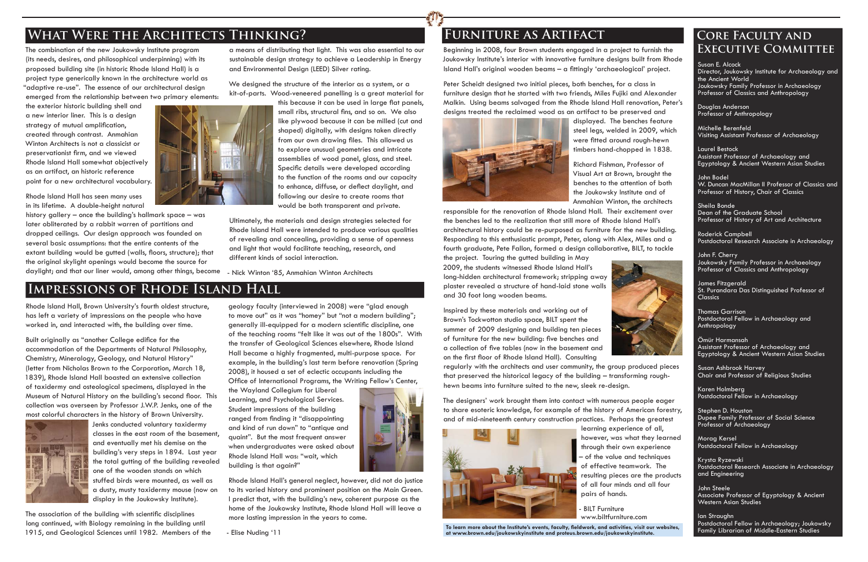The combination of the new Joukowsky Institute program (its needs, desires, and philosophical underpinning) with its proposed building site (in historic Rhode Island Hall) is a project type generically known in the architecture world as "adaptive re-use". The essence of our architectural design emerged from the relationship between two primary elements:

the exterior historic building shell and a new interior liner. This is a design strategy of mutual amplification, created through contrast. Anmahian Winton Architects is not a classicist or preservationist firm, and we viewed Rhode Island Hall somewhat objectively as an artifact, an historic reference point for a new architectural vocabulary.

Rhode Island Hall has seen many uses in its lifetime. A double-height natural We designed the structure of the interior as a system, or a kit-of-parts. Wood-veneered panelling is a great material for

history gallery – once the building's hallmark space – was later obliterated by a rabbit warren of partitions and dropped ceilings. Our design approach was founded on several basic assumptions: that the entire contents of the extant building would be gutted (walls, floors, structure); that the original skylight openings would become the source for daylight; and that our liner would, among other things, become



this because it can be used in large flat panels, small ribs, structural fins, and so on. We also like plywood because it can be milled (cut and shaped) digitally, with designs taken directly from our own drawing files. This allowed us to explore unusual geometries and intricate assemblies of wood panel, glass, and steel. Specific details were developed according to the function of the rooms and our capacity to enhance, diffuse, or deflect daylight, and following our desire to create rooms that would be both transparent and private.

a means of distributing that light. This was also essential to our sustainable design strategy to achieve a Leadership in Energy and Environmental Design (LEED) Silver rating.

Built originally as "another College edifice for the accommodation of the Departments of Natural Philosophy, Chemistry, Mineralogy, Geology, and Natural History" (letter from Nicholas Brown to the Corporation, March 18, 1839), Rhode Island Hall boasted an extensive collection of taxidermy and osteological specimens, displayed in the Museum of Natural History on the building's second floor. This collection was overseen by Professor J.W.P. Jenks, one of the most colorful characters in the history of Brown University.



The association of the building with scientific disciplines long continued, with Biology remaining in the building until 1915, and Geological Sciences until 1982. Members of the geology faculty (interviewed in 2008) were "glad enough to move out" as it was "homey" but "not a modern building"; generally ill-equipped for a modern scienti fi c discipline, one of the teaching rooms "felt like it was out of the 1800s". With the transfer of Geological Sciences elsewhere, Rhode Island Hall became a highly fragmented, multi-purpose space. For example, in the building's last term before renovation (Spring 2008), it housed a set of eclectic occupants including the Office of International Programs, the Writing Fellow's Center,

Ultimately, the materials and design strategies selected for Rhode Island Hall were intended to produce various qualities of revealing and concealing, providing a sense of openness and light that would facilitate teaching, research, and different kinds of social interaction.

- Nick Winton '85, Anmahian Winton Architects

## **What Were the Architects Thinking?**

### **Impressions of Rhode Island Hall**

Rhode Island Hall, Brown University's fourth oldest structure, has left a variety of impressions on the people who have worked in, and interacted with, the building over time.

James Fitzgerald St. Purandara Das Distinguished Professor of **Classics** 

Beginning in 2008, four Brown students engaged in a project to furnish the **EXECUTIVE COMMITTEE** Joukowsky Institute's interior with innovative furniture designs built from Rhode Island Hall's original wooden beams – a fi ttingly 'archaeological' project.

Jenks conducted voluntary taxidermy classes in the east room of the basement, and eventually met his demise on the building's very steps in 1894. Last year the total gutting of the building revealed one of the wooden stands on which stuffed birds were mounted, as well as a dusty, musty taxidermy mouse (now on display in the Joukowsky Institute).

Inspired by these materials and working out of Brown's Tockwotton studio space, BILT spent the summer of 2009 designing and building ten pieces of furniture for the new building: five benches and a collection of five tables (now in the basement and on the first floor of Rhode Island Hall). Consulting

the Wayland Collegium for Liberal Learning, and Psychological Services. Student impressions of the building ranged from finding it "disappointing and kind of run down" to "antique and quaint". But the most frequent answer when undergraduates were asked about Rhode Island Hall was: "wait, which building is that again?"



**BILT Furniture** www.biltfurniture.com

To learn more about the Institute's events, faculty, fieldwork, and activities, visit our websites, **at www.brown.edu/joukowskyinstitute and proteus.brown.edu/joukowskyinstitute.**

Rhode Island Hall's general neglect, however, did not do justice to its varied history and prominent position on the Main Green. I predict that, with the building's new, coherent purpose as the home of the Joukowsky Institute, Rhode Island Hall will leave a more lasting impression in the years to come.

- Elise Nuding '11

Susan E. Alcock Director, Joukowsky Institute for Archaeology and the Ancient World Joukowsky Family Professor in Archaeology Professor of Classics and Anthropology

Douglas Anderson Professor of Anthropology

Michelle Berenfeld Visiting Assistant Professor of Archaeology

Laurel Bestock Assistant Professor of Archaeology and Egyptology & Ancient Western Asian Studies

John Bodel W. Duncan MacMillan II Professor of Classics and Professor of History, Chair of Classics

Sheila Bonde Dean of the Graduate School Professor of History of Art and Architecture

Roderick Campbell Postdoctoral Research Associate in Archaeology

John F. Cherry Joukowsky Family Professor in Archaeology Professor of Classics and Anthropology

Thomas Garrison Postdoctoral Fellow in Archaeology and Anthropology

Ömür Harmansah Assistant Professor of Archaeology and Egyptology & Ancient Western Asian Studies

Susan Ashbrook Harvey Chair and Professor of Religious Studies

Karen Holmberg Postdoctoral Fellow in Archaeology

Stephen D. Houston Dupee Family Professor of Social Science Professor of Archaeology

Morag Kersel Postdoctoral Fellow in Archaeology

Krysta Ryzewski Postdoctoral Research Associate in Archaeology and Engineering

John Steele Associate Professor of Egyptology & Ancient Western Asian Studies

Ian Straughn Postdoctoral Fellow in Archaeology; Joukowsky Family Librarian of Middle-Eastern Studies

# **Core Faculty and**

Peter Scheidt designed two initial pieces, both benches, for a class in furniture design that he started with two friends, Miles Fujiki and Alexander Malkin. Using beams salvaged from the Rhode Island Hall renovation, Peter's designs treated the reclaimed wood as an artifact to be preserved and displayed. The benches feature steel legs, welded in 2009, which were fi tted around rough-hewn timbers hand-chopped in 1838.



Richard Fishman, Professor of Visual Art at Brown, brought the benches to the attention of both the Joukowsky Institute and of Anmahian Winton, the architects responsible for the renovation of Rhode Island Hall. Their excitement over the benches led to the realization that still more of Rhode Island Hall's architectural history could be re-purposed as furniture for the new building. Responding to this enthusiastic prompt, Peter, along with Alex, Miles and a fourth graduate, Pete Fallon, formed a design collaborative, BILT, to tackle

the project. Touring the gutted building in May 2009, the students witnessed Rhode Island Hall's long-hidden architectural framework; stripping away plaster revealed a structure of hand-laid stone walls and 30 foot long wooden beams.



regularly with the architects and user community, the group produced pieces that preserved the historical legacy of the building – transforming roughhewn beams into furniture suited to the new, sleek re-design.

The designers' work brought them into contact with numerous people eager to share esoteric knowledge, for example of the history of American forestry, and of mid-nineteenth century construction practices. Perhaps the greatest



learning experience of all, however, was what they learned through their own experience – of the value and techniques of effective teamwork. The resulting pieces are the products of all four minds and all four pairs of hands.